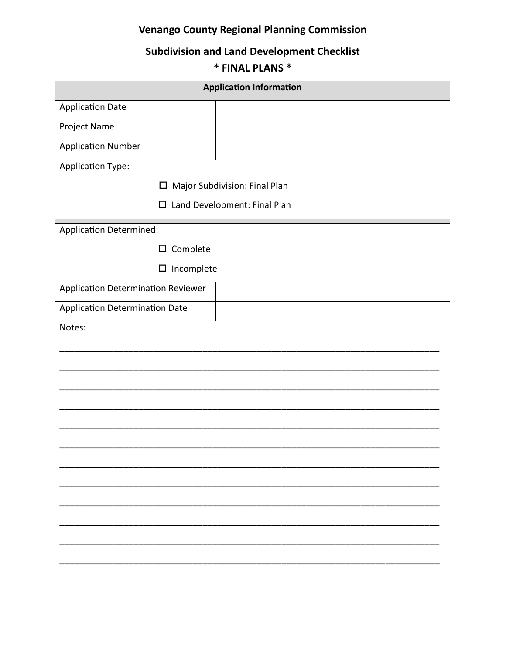## **Venango County Regional Planning Commission**

## **Subdivision and Land Development Checklist**

## \* FINAL PLANS \*

| <b>Application Information</b>     |                               |  |  |  |  |
|------------------------------------|-------------------------------|--|--|--|--|
| <b>Application Date</b>            |                               |  |  |  |  |
| Project Name                       |                               |  |  |  |  |
| <b>Application Number</b>          |                               |  |  |  |  |
| Application Type:                  |                               |  |  |  |  |
| □                                  | Major Subdivision: Final Plan |  |  |  |  |
| $\Box$                             | Land Development: Final Plan  |  |  |  |  |
| Application Determined:            |                               |  |  |  |  |
| $\square$ Complete                 |                               |  |  |  |  |
| $\square$ Incomplete               |                               |  |  |  |  |
| Application Determination Reviewer |                               |  |  |  |  |
| Application Determination Date     |                               |  |  |  |  |
| Notes:                             |                               |  |  |  |  |
|                                    |                               |  |  |  |  |
|                                    |                               |  |  |  |  |
|                                    |                               |  |  |  |  |
|                                    |                               |  |  |  |  |
|                                    |                               |  |  |  |  |
|                                    |                               |  |  |  |  |
|                                    |                               |  |  |  |  |
|                                    |                               |  |  |  |  |
|                                    |                               |  |  |  |  |
|                                    |                               |  |  |  |  |
|                                    |                               |  |  |  |  |
|                                    |                               |  |  |  |  |
|                                    |                               |  |  |  |  |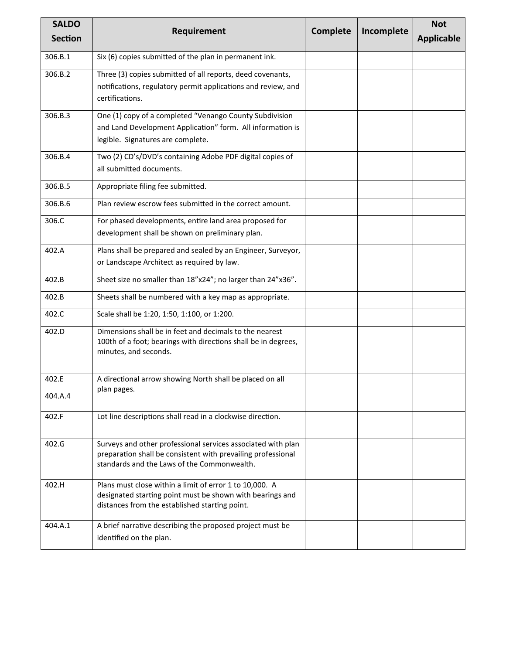| <b>SALDO</b>   | Requirement                                                                                                                                        | <b>Complete</b> | Incomplete | <b>Not</b>        |
|----------------|----------------------------------------------------------------------------------------------------------------------------------------------------|-----------------|------------|-------------------|
| <b>Section</b> |                                                                                                                                                    |                 |            | <b>Applicable</b> |
| 306.B.1        | Six (6) copies submitted of the plan in permanent ink.                                                                                             |                 |            |                   |
| 306.B.2        | Three (3) copies submitted of all reports, deed covenants,                                                                                         |                 |            |                   |
|                | notifications, regulatory permit applications and review, and<br>certifications.                                                                   |                 |            |                   |
| 306.B.3        | One (1) copy of a completed "Venango County Subdivision                                                                                            |                 |            |                   |
|                | and Land Development Application" form. All information is<br>legible. Signatures are complete.                                                    |                 |            |                   |
| 306.B.4        | Two (2) CD's/DVD's containing Adobe PDF digital copies of                                                                                          |                 |            |                   |
|                | all submitted documents.                                                                                                                           |                 |            |                   |
| 306.B.5        | Appropriate filing fee submitted.                                                                                                                  |                 |            |                   |
| 306.B.6        | Plan review escrow fees submitted in the correct amount.                                                                                           |                 |            |                   |
| 306.C          | For phased developments, entire land area proposed for                                                                                             |                 |            |                   |
|                | development shall be shown on preliminary plan.                                                                                                    |                 |            |                   |
| 402.A          | Plans shall be prepared and sealed by an Engineer, Surveyor,                                                                                       |                 |            |                   |
|                | or Landscape Architect as required by law.                                                                                                         |                 |            |                   |
| 402.B          | Sheet size no smaller than 18"x24"; no larger than 24"x36".                                                                                        |                 |            |                   |
| 402.B          | Sheets shall be numbered with a key map as appropriate.                                                                                            |                 |            |                   |
| 402.C          | Scale shall be 1:20, 1:50, 1:100, or 1:200.                                                                                                        |                 |            |                   |
| 402.D          | Dimensions shall be in feet and decimals to the nearest<br>100th of a foot; bearings with directions shall be in degrees,<br>minutes, and seconds. |                 |            |                   |
|                |                                                                                                                                                    |                 |            |                   |
| 402.E          | A directional arrow showing North shall be placed on all                                                                                           |                 |            |                   |
| 404.A.4        | plan pages.                                                                                                                                        |                 |            |                   |
| 402.F          | Lot line descriptions shall read in a clockwise direction.                                                                                         |                 |            |                   |
| 402.G          | Surveys and other professional services associated with plan<br>preparation shall be consistent with prevailing professional                       |                 |            |                   |
|                | standards and the Laws of the Commonwealth.                                                                                                        |                 |            |                   |
| 402.H          | Plans must close within a limit of error 1 to 10,000. A<br>designated starting point must be shown with bearings and                               |                 |            |                   |
|                | distances from the established starting point.                                                                                                     |                 |            |                   |
| 404.A.1        | A brief narrative describing the proposed project must be                                                                                          |                 |            |                   |
|                | identified on the plan.                                                                                                                            |                 |            |                   |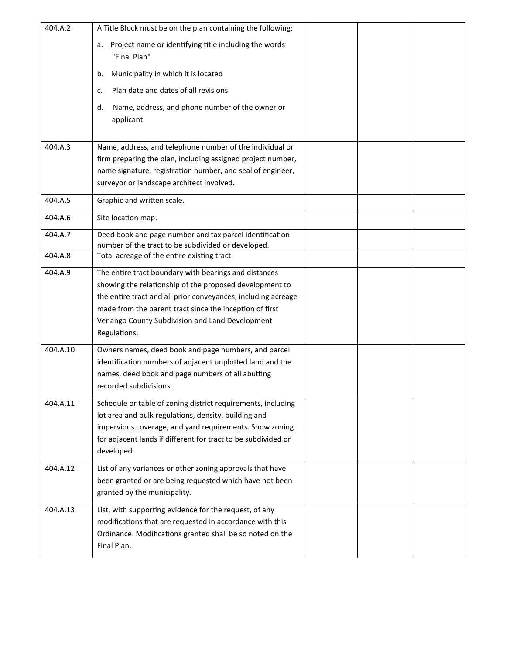| 404.A.2  | A Title Block must be on the plan containing the following:                                                                                                                                                                                                                                                     |  |  |
|----------|-----------------------------------------------------------------------------------------------------------------------------------------------------------------------------------------------------------------------------------------------------------------------------------------------------------------|--|--|
|          | Project name or identifying title including the words<br>a.<br>"Final Plan"                                                                                                                                                                                                                                     |  |  |
|          | Municipality in which it is located<br>b.                                                                                                                                                                                                                                                                       |  |  |
|          | Plan date and dates of all revisions<br>c.                                                                                                                                                                                                                                                                      |  |  |
|          | Name, address, and phone number of the owner or<br>d.                                                                                                                                                                                                                                                           |  |  |
|          | applicant                                                                                                                                                                                                                                                                                                       |  |  |
| 404.A.3  | Name, address, and telephone number of the individual or                                                                                                                                                                                                                                                        |  |  |
|          | firm preparing the plan, including assigned project number,<br>name signature, registration number, and seal of engineer,                                                                                                                                                                                       |  |  |
|          | surveyor or landscape architect involved.                                                                                                                                                                                                                                                                       |  |  |
| 404.A.5  | Graphic and written scale.                                                                                                                                                                                                                                                                                      |  |  |
| 404.A.6  | Site location map.                                                                                                                                                                                                                                                                                              |  |  |
| 404.A.7  | Deed book and page number and tax parcel identification<br>number of the tract to be subdivided or developed.                                                                                                                                                                                                   |  |  |
| 404.A.8  | Total acreage of the entire existing tract.                                                                                                                                                                                                                                                                     |  |  |
| 404.A.9  | The entire tract boundary with bearings and distances<br>showing the relationship of the proposed development to<br>the entire tract and all prior conveyances, including acreage<br>made from the parent tract since the inception of first<br>Venango County Subdivision and Land Development<br>Regulations. |  |  |
| 404.A.10 | Owners names, deed book and page numbers, and parcel                                                                                                                                                                                                                                                            |  |  |
|          | identification numbers of adjacent unplotted land and the                                                                                                                                                                                                                                                       |  |  |
|          | names, deed book and page numbers of all abutting<br>recorded subdivisions.                                                                                                                                                                                                                                     |  |  |
| 404.A.11 | Schedule or table of zoning district requirements, including<br>lot area and bulk regulations, density, building and<br>impervious coverage, and yard requirements. Show zoning<br>for adjacent lands if different for tract to be subdivided or<br>developed.                                                  |  |  |
| 404.A.12 | List of any variances or other zoning approvals that have<br>been granted or are being requested which have not been<br>granted by the municipality.                                                                                                                                                            |  |  |
| 404.A.13 | List, with supporting evidence for the request, of any<br>modifications that are requested in accordance with this<br>Ordinance. Modifications granted shall be so noted on the<br>Final Plan.                                                                                                                  |  |  |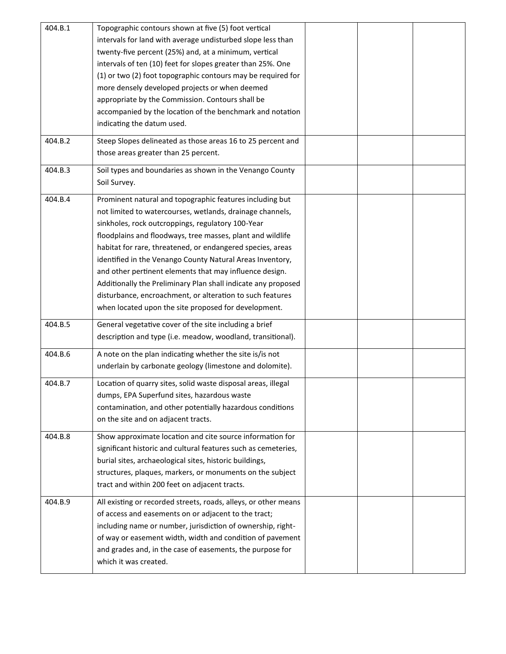| 404.B.1 | Topographic contours shown at five (5) foot vertical            |  |  |
|---------|-----------------------------------------------------------------|--|--|
|         | intervals for land with average undisturbed slope less than     |  |  |
|         | twenty-five percent (25%) and, at a minimum, vertical           |  |  |
|         | intervals of ten (10) feet for slopes greater than 25%. One     |  |  |
|         | (1) or two (2) foot topographic contours may be required for    |  |  |
|         | more densely developed projects or when deemed                  |  |  |
|         | appropriate by the Commission. Contours shall be                |  |  |
|         | accompanied by the location of the benchmark and notation       |  |  |
|         |                                                                 |  |  |
|         | indicating the datum used.                                      |  |  |
| 404.B.2 | Steep Slopes delineated as those areas 16 to 25 percent and     |  |  |
|         | those areas greater than 25 percent.                            |  |  |
| 404.B.3 | Soil types and boundaries as shown in the Venango County        |  |  |
|         | Soil Survey.                                                    |  |  |
| 404.B.4 | Prominent natural and topographic features including but        |  |  |
|         | not limited to watercourses, wetlands, drainage channels,       |  |  |
|         | sinkholes, rock outcroppings, regulatory 100-Year               |  |  |
|         | floodplains and floodways, tree masses, plant and wildlife      |  |  |
|         |                                                                 |  |  |
|         | habitat for rare, threatened, or endangered species, areas      |  |  |
|         | identified in the Venango County Natural Areas Inventory,       |  |  |
|         | and other pertinent elements that may influence design.         |  |  |
|         | Additionally the Preliminary Plan shall indicate any proposed   |  |  |
|         | disturbance, encroachment, or alteration to such features       |  |  |
|         | when located upon the site proposed for development.            |  |  |
| 404.B.5 | General vegetative cover of the site including a brief          |  |  |
|         | description and type (i.e. meadow, woodland, transitional).     |  |  |
| 404.B.6 | A note on the plan indicating whether the site is/is not        |  |  |
|         | underlain by carbonate geology (limestone and dolomite).        |  |  |
| 404.B.7 | Location of quarry sites, solid waste disposal areas, illegal   |  |  |
|         | dumps, EPA Superfund sites, hazardous waste                     |  |  |
|         | contamination, and other potentially hazardous conditions       |  |  |
|         | on the site and on adjacent tracts.                             |  |  |
| 404.B.8 | Show approximate location and cite source information for       |  |  |
|         | significant historic and cultural features such as cemeteries,  |  |  |
|         | burial sites, archaeological sites, historic buildings,         |  |  |
|         | structures, plaques, markers, or monuments on the subject       |  |  |
|         | tract and within 200 feet on adjacent tracts.                   |  |  |
| 404.B.9 | All existing or recorded streets, roads, alleys, or other means |  |  |
|         | of access and easements on or adjacent to the tract;            |  |  |
|         | including name or number, jurisdiction of ownership, right-     |  |  |
|         | of way or easement width, width and condition of pavement       |  |  |
|         | and grades and, in the case of easements, the purpose for       |  |  |
|         | which it was created.                                           |  |  |
|         |                                                                 |  |  |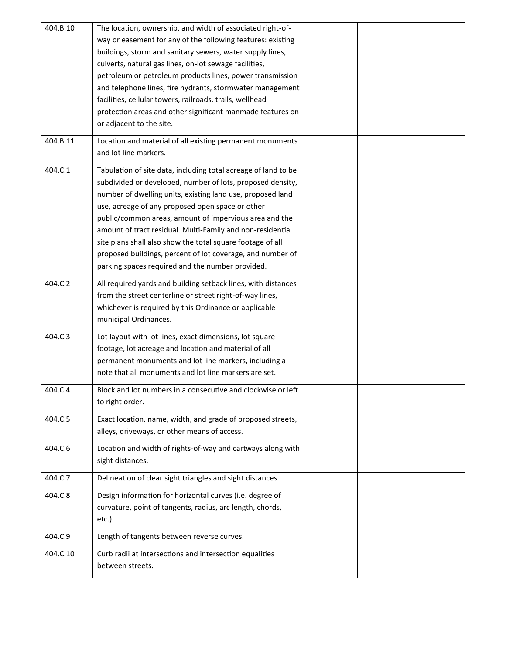| 404.B.10 | The location, ownership, and width of associated right-of-     |  |  |
|----------|----------------------------------------------------------------|--|--|
|          | way or easement for any of the following features: existing    |  |  |
|          | buildings, storm and sanitary sewers, water supply lines,      |  |  |
|          | culverts, natural gas lines, on-lot sewage facilities,         |  |  |
|          | petroleum or petroleum products lines, power transmission      |  |  |
|          | and telephone lines, fire hydrants, stormwater management      |  |  |
|          | facilities, cellular towers, railroads, trails, wellhead       |  |  |
|          | protection areas and other significant manmade features on     |  |  |
|          | or adjacent to the site.                                       |  |  |
|          |                                                                |  |  |
| 404.B.11 | Location and material of all existing permanent monuments      |  |  |
|          | and lot line markers.                                          |  |  |
| 404.C.1  | Tabulation of site data, including total acreage of land to be |  |  |
|          | subdivided or developed, number of lots, proposed density,     |  |  |
|          | number of dwelling units, existing land use, proposed land     |  |  |
|          | use, acreage of any proposed open space or other               |  |  |
|          | public/common areas, amount of impervious area and the         |  |  |
|          | amount of tract residual. Multi-Family and non-residential     |  |  |
|          | site plans shall also show the total square footage of all     |  |  |
|          | proposed buildings, percent of lot coverage, and number of     |  |  |
|          |                                                                |  |  |
|          | parking spaces required and the number provided.               |  |  |
| 404.C.2  | All required yards and building setback lines, with distances  |  |  |
|          | from the street centerline or street right-of-way lines,       |  |  |
|          | whichever is required by this Ordinance or applicable          |  |  |
|          | municipal Ordinances.                                          |  |  |
| 404.C.3  | Lot layout with lot lines, exact dimensions, lot square        |  |  |
|          | footage, lot acreage and location and material of all          |  |  |
|          | permanent monuments and lot line markers, including a          |  |  |
|          | note that all monuments and lot line markers are set.          |  |  |
|          |                                                                |  |  |
| 404.C.4  | Block and lot numbers in a consecutive and clockwise or left   |  |  |
|          | to right order.                                                |  |  |
| 404.C.5  | Exact location, name, width, and grade of proposed streets,    |  |  |
|          | alleys, driveways, or other means of access.                   |  |  |
|          |                                                                |  |  |
| 404.C.6  | Location and width of rights-of-way and cartways along with    |  |  |
|          | sight distances.                                               |  |  |
| 404.C.7  | Delineation of clear sight triangles and sight distances.      |  |  |
|          |                                                                |  |  |
| 404.C.8  | Design information for horizontal curves (i.e. degree of       |  |  |
|          | curvature, point of tangents, radius, arc length, chords,      |  |  |
|          | $etc.$ ).                                                      |  |  |
| 404.C.9  | Length of tangents between reverse curves.                     |  |  |
| 404.C.10 | Curb radii at intersections and intersection equalities        |  |  |
|          | between streets.                                               |  |  |
|          |                                                                |  |  |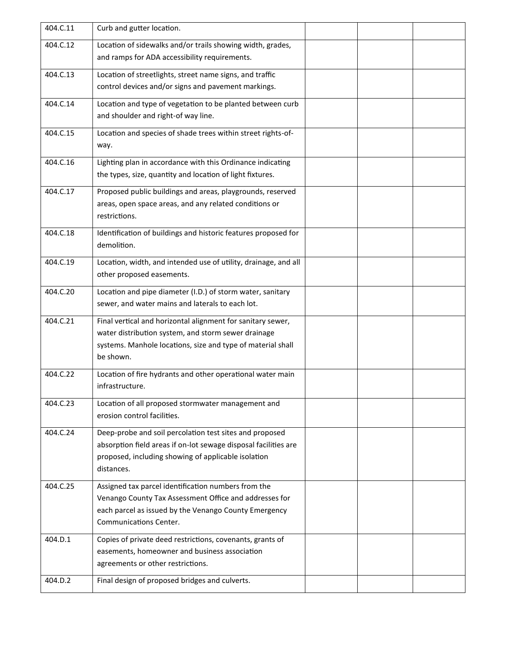| 404.C.11 | Curb and gutter location.                                                                                                                                                                        |  |  |
|----------|--------------------------------------------------------------------------------------------------------------------------------------------------------------------------------------------------|--|--|
| 404.C.12 | Location of sidewalks and/or trails showing width, grades,<br>and ramps for ADA accessibility requirements.                                                                                      |  |  |
| 404.C.13 | Location of streetlights, street name signs, and traffic<br>control devices and/or signs and pavement markings.                                                                                  |  |  |
| 404.C.14 | Location and type of vegetation to be planted between curb<br>and shoulder and right-of way line.                                                                                                |  |  |
| 404.C.15 | Location and species of shade trees within street rights-of-<br>way.                                                                                                                             |  |  |
| 404.C.16 | Lighting plan in accordance with this Ordinance indicating<br>the types, size, quantity and location of light fixtures.                                                                          |  |  |
| 404.C.17 | Proposed public buildings and areas, playgrounds, reserved<br>areas, open space areas, and any related conditions or<br>restrictions.                                                            |  |  |
| 404.C.18 | Identification of buildings and historic features proposed for<br>demolition.                                                                                                                    |  |  |
| 404.C.19 | Location, width, and intended use of utility, drainage, and all<br>other proposed easements.                                                                                                     |  |  |
| 404.C.20 | Location and pipe diameter (I.D.) of storm water, sanitary<br>sewer, and water mains and laterals to each lot.                                                                                   |  |  |
| 404.C.21 | Final vertical and horizontal alignment for sanitary sewer,<br>water distribution system, and storm sewer drainage<br>systems. Manhole locations, size and type of material shall<br>be shown.   |  |  |
| 404.C.22 | Location of fire hydrants and other operational water main<br>infrastructure.                                                                                                                    |  |  |
| 404.C.23 | Location of all proposed stormwater management and<br>erosion control facilities.                                                                                                                |  |  |
| 404.C.24 | Deep-probe and soil percolation test sites and proposed<br>absorption field areas if on-lot sewage disposal facilities are<br>proposed, including showing of applicable isolation<br>distances.  |  |  |
| 404.C.25 | Assigned tax parcel identification numbers from the<br>Venango County Tax Assessment Office and addresses for<br>each parcel as issued by the Venango County Emergency<br>Communications Center. |  |  |
| 404.D.1  | Copies of private deed restrictions, covenants, grants of<br>easements, homeowner and business association<br>agreements or other restrictions.                                                  |  |  |
| 404.D.2  | Final design of proposed bridges and culverts.                                                                                                                                                   |  |  |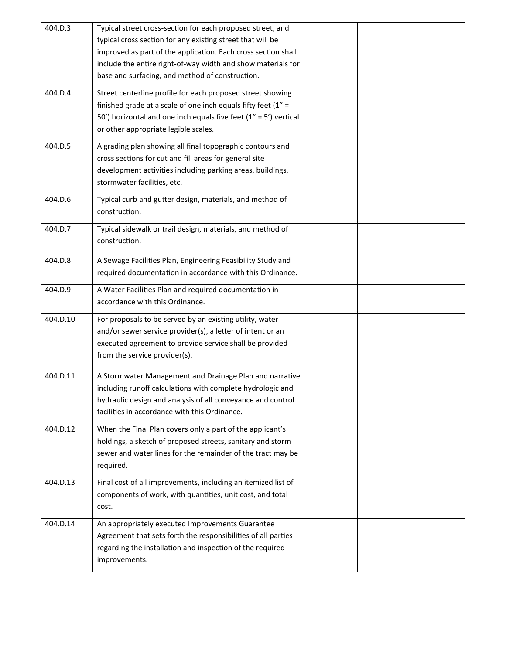| 404.D.3  | Typical street cross-section for each proposed street, and<br>typical cross section for any existing street that will be<br>improved as part of the application. Each cross section shall<br>include the entire right-of-way width and show materials for<br>base and surfacing, and method of construction. |  |  |
|----------|--------------------------------------------------------------------------------------------------------------------------------------------------------------------------------------------------------------------------------------------------------------------------------------------------------------|--|--|
| 404.D.4  | Street centerline profile for each proposed street showing<br>finished grade at a scale of one inch equals fifty feet $(1'' =$<br>50') horizontal and one inch equals five feet $(1'' = 5')$ vertical<br>or other appropriate legible scales.                                                                |  |  |
| 404.D.5  | A grading plan showing all final topographic contours and<br>cross sections for cut and fill areas for general site<br>development activities including parking areas, buildings,<br>stormwater facilities, etc.                                                                                             |  |  |
| 404.D.6  | Typical curb and gutter design, materials, and method of<br>construction.                                                                                                                                                                                                                                    |  |  |
| 404.D.7  | Typical sidewalk or trail design, materials, and method of<br>construction.                                                                                                                                                                                                                                  |  |  |
| 404.D.8  | A Sewage Facilities Plan, Engineering Feasibility Study and<br>required documentation in accordance with this Ordinance.                                                                                                                                                                                     |  |  |
| 404.D.9  | A Water Facilities Plan and required documentation in<br>accordance with this Ordinance.                                                                                                                                                                                                                     |  |  |
| 404.D.10 | For proposals to be served by an existing utility, water<br>and/or sewer service provider(s), a letter of intent or an<br>executed agreement to provide service shall be provided<br>from the service provider(s).                                                                                           |  |  |
| 404.D.11 | A Stormwater Management and Drainage Plan and narrative<br>including runoff calculations with complete hydrologic and<br>hydraulic design and analysis of all conveyance and control<br>facilities in accordance with this Ordinance.                                                                        |  |  |
| 404.D.12 | When the Final Plan covers only a part of the applicant's<br>holdings, a sketch of proposed streets, sanitary and storm<br>sewer and water lines for the remainder of the tract may be<br>required.                                                                                                          |  |  |
| 404.D.13 | Final cost of all improvements, including an itemized list of<br>components of work, with quantities, unit cost, and total<br>cost.                                                                                                                                                                          |  |  |
| 404.D.14 | An appropriately executed Improvements Guarantee<br>Agreement that sets forth the responsibilities of all parties<br>regarding the installation and inspection of the required<br>improvements.                                                                                                              |  |  |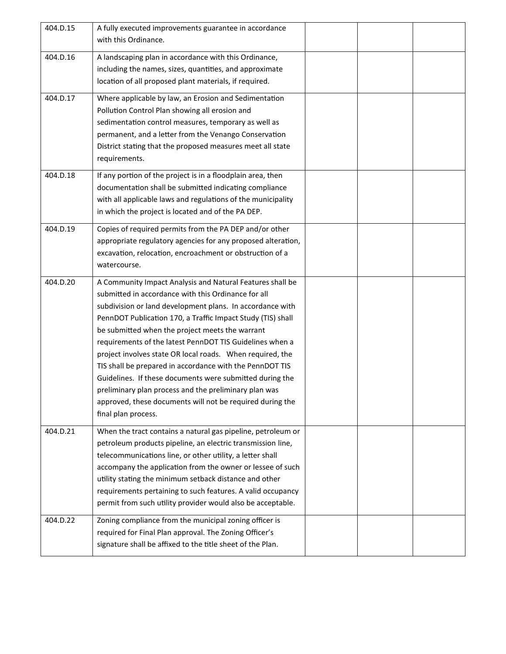| 404.D.15 | A fully executed improvements guarantee in accordance<br>with this Ordinance.                                                                                                                                                                                                                                                                                                                                                                                                                                                                                                                                                                                                                 |  |  |
|----------|-----------------------------------------------------------------------------------------------------------------------------------------------------------------------------------------------------------------------------------------------------------------------------------------------------------------------------------------------------------------------------------------------------------------------------------------------------------------------------------------------------------------------------------------------------------------------------------------------------------------------------------------------------------------------------------------------|--|--|
| 404.D.16 | A landscaping plan in accordance with this Ordinance,<br>including the names, sizes, quantities, and approximate<br>location of all proposed plant materials, if required.                                                                                                                                                                                                                                                                                                                                                                                                                                                                                                                    |  |  |
| 404.D.17 | Where applicable by law, an Erosion and Sedimentation<br>Pollution Control Plan showing all erosion and<br>sedimentation control measures, temporary as well as<br>permanent, and a letter from the Venango Conservation<br>District stating that the proposed measures meet all state<br>requirements.                                                                                                                                                                                                                                                                                                                                                                                       |  |  |
| 404.D.18 | If any portion of the project is in a floodplain area, then<br>documentation shall be submitted indicating compliance<br>with all applicable laws and regulations of the municipality<br>in which the project is located and of the PA DEP.                                                                                                                                                                                                                                                                                                                                                                                                                                                   |  |  |
| 404.D.19 | Copies of required permits from the PA DEP and/or other<br>appropriate regulatory agencies for any proposed alteration,<br>excavation, relocation, encroachment or obstruction of a<br>watercourse.                                                                                                                                                                                                                                                                                                                                                                                                                                                                                           |  |  |
| 404.D.20 | A Community Impact Analysis and Natural Features shall be<br>submitted in accordance with this Ordinance for all<br>subdivision or land development plans. In accordance with<br>PennDOT Publication 170, a Traffic Impact Study (TIS) shall<br>be submitted when the project meets the warrant<br>requirements of the latest PennDOT TIS Guidelines when a<br>project involves state OR local roads. When required, the<br>TIS shall be prepared in accordance with the PennDOT TIS<br>Guidelines. If these documents were submitted during the<br>preliminary plan process and the preliminary plan was<br>approved, these documents will not be required during the<br>final plan process. |  |  |
| 404.D.21 | When the tract contains a natural gas pipeline, petroleum or<br>petroleum products pipeline, an electric transmission line,<br>telecommunications line, or other utility, a letter shall<br>accompany the application from the owner or lessee of such<br>utility stating the minimum setback distance and other<br>requirements pertaining to such features. A valid occupancy<br>permit from such utility provider would also be acceptable.                                                                                                                                                                                                                                                |  |  |
| 404.D.22 | Zoning compliance from the municipal zoning officer is<br>required for Final Plan approval. The Zoning Officer's<br>signature shall be affixed to the title sheet of the Plan.                                                                                                                                                                                                                                                                                                                                                                                                                                                                                                                |  |  |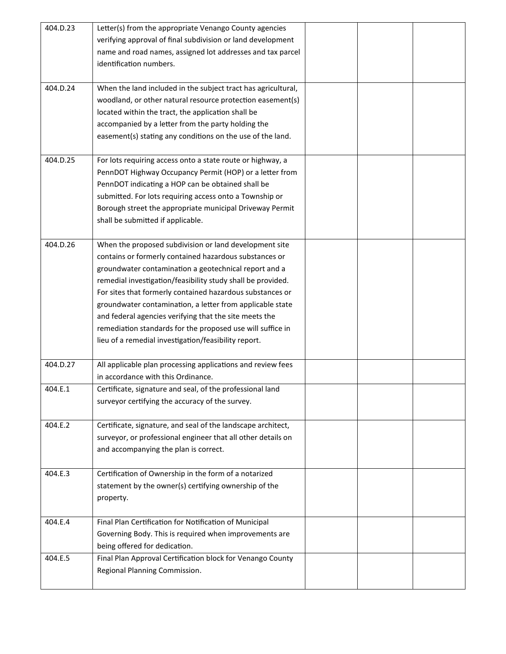| 404.D.23 | Letter(s) from the appropriate Venango County agencies        |  |  |
|----------|---------------------------------------------------------------|--|--|
|          | verifying approval of final subdivision or land development   |  |  |
|          | name and road names, assigned lot addresses and tax parcel    |  |  |
|          | identification numbers.                                       |  |  |
|          |                                                               |  |  |
| 404.D.24 | When the land included in the subject tract has agricultural, |  |  |
|          | woodland, or other natural resource protection easement(s)    |  |  |
|          | located within the tract, the application shall be            |  |  |
|          | accompanied by a letter from the party holding the            |  |  |
|          | easement(s) stating any conditions on the use of the land.    |  |  |
|          |                                                               |  |  |
| 404.D.25 | For lots requiring access onto a state route or highway, a    |  |  |
|          | PennDOT Highway Occupancy Permit (HOP) or a letter from       |  |  |
|          |                                                               |  |  |
|          | PennDOT indicating a HOP can be obtained shall be             |  |  |
|          | submitted. For lots requiring access onto a Township or       |  |  |
|          | Borough street the appropriate municipal Driveway Permit      |  |  |
|          | shall be submitted if applicable.                             |  |  |
|          |                                                               |  |  |
| 404.D.26 | When the proposed subdivision or land development site        |  |  |
|          | contains or formerly contained hazardous substances or        |  |  |
|          | groundwater contamination a geotechnical report and a         |  |  |
|          | remedial investigation/feasibility study shall be provided.   |  |  |
|          | For sites that formerly contained hazardous substances or     |  |  |
|          | groundwater contamination, a letter from applicable state     |  |  |
|          | and federal agencies verifying that the site meets the        |  |  |
|          | remediation standards for the proposed use will suffice in    |  |  |
|          | lieu of a remedial investigation/feasibility report.          |  |  |
|          |                                                               |  |  |
| 404.D.27 | All applicable plan processing applications and review fees   |  |  |
|          | in accordance with this Ordinance.                            |  |  |
| 404.E.1  | Certificate, signature and seal, of the professional land     |  |  |
|          | surveyor certifying the accuracy of the survey.               |  |  |
|          |                                                               |  |  |
| 404.E.2  | Certificate, signature, and seal of the landscape architect,  |  |  |
|          | surveyor, or professional engineer that all other details on  |  |  |
|          | and accompanying the plan is correct.                         |  |  |
|          |                                                               |  |  |
| 404.E.3  | Certification of Ownership in the form of a notarized         |  |  |
|          | statement by the owner(s) certifying ownership of the         |  |  |
|          | property.                                                     |  |  |
|          |                                                               |  |  |
| 404.E.4  | Final Plan Certification for Notification of Municipal        |  |  |
|          | Governing Body. This is required when improvements are        |  |  |
|          | being offered for dedication.                                 |  |  |
| 404.E.5  | Final Plan Approval Certification block for Venango County    |  |  |
|          |                                                               |  |  |
|          | Regional Planning Commission.                                 |  |  |
|          |                                                               |  |  |